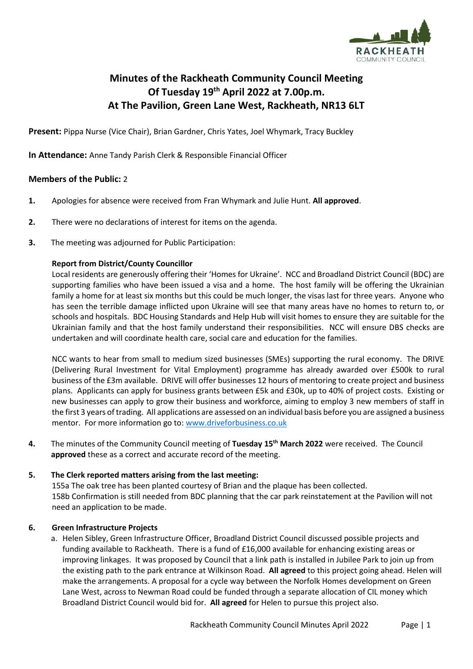

# **Minutes of the Rackheath Community Council Meeting Of Tuesday 19th April 2022 at 7.00p.m. At The Pavilion, Green Lane West, Rackheath, NR13 6LT**

**Present:** Pippa Nurse (Vice Chair), Brian Gardner, Chris Yates, Joel Whymark, Tracy Buckley

**In Attendance:** Anne Tandy Parish Clerk & Responsible Financial Officer

# **Members of the Public:** 2

- **1.** Apologies for absence were received from Fran Whymark and Julie Hunt. **All approved**.
- **2.** There were no declarations of interest for items on the agenda.
- **3.** The meeting was adjourned for Public Participation:

# **Report from District/County Councillor**

Local residents are generously offering their 'Homes for Ukraine'. NCC and Broadland District Council (BDC) are supporting families who have been issued a visa and a home. The host family will be offering the Ukrainian family a home for at least six months but this could be much longer, the visas last for three years. Anyone who has seen the terrible damage inflicted upon Ukraine will see that many areas have no homes to return to, or schools and hospitals. BDC Housing Standards and Help Hub will visit homes to ensure they are suitable for the Ukrainian family and that the host family understand their responsibilities. NCC will ensure DBS checks are undertaken and will coordinate health care, social care and education for the families.

NCC wants to hear from small to medium sized businesses (SMEs) supporting the rural economy. The DRIVE (Delivering Rural Investment for Vital Employment) programme has already awarded over £500k to rural business of the £3m available. DRIVE will offer businesses 12 hours of mentoring to create project and business plans. Applicants can apply for business grants between £5k and £30k, up to 40% of project costs. Existing or new businesses can apply to grow their business and workforce, aiming to employ 3 new members of staff in the first 3 years of trading. All applications are assessed on an individual basis before you are assigned a business mentor. For more information go to: [www.driveforbusiness.co.uk](http://www.driveforbusiness.co.uk/)

**4.** The minutes of the Community Council meeting of **Tuesday 15th March 2022** were received. The Council **approved** these as a correct and accurate record of the meeting.

#### **5. The Clerk reported matters arising from the last meeting:**

155a The oak tree has been planted courtesy of Brian and the plaque has been collected. 158b Confirmation is still needed from BDC planning that the car park reinstatement at the Pavilion will not need an application to be made.

#### **6. Green Infrastructure Projects**

a. Helen Sibley, Green Infrastructure Officer, Broadland District Council discussed possible projects and funding available to Rackheath. There is a fund of £16,000 available for enhancing existing areas or improving linkages. It was proposed by Council that a link path is installed in Jubilee Park to join up from the existing path to the park entrance at Wilkinson Road. **All agreed** to this project going ahead. Helen will make the arrangements. A proposal for a cycle way between the Norfolk Homes development on Green Lane West, across to Newman Road could be funded through a separate allocation of CIL money which Broadland District Council would bid for. **All agreed** for Helen to pursue this project also.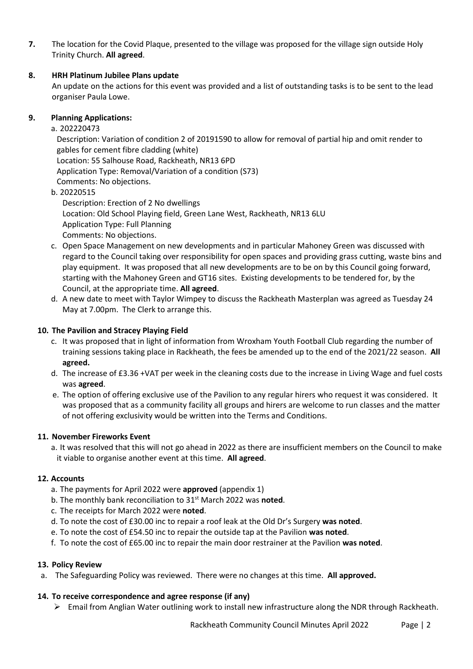**7.** The location for the Covid Plaque, presented to the village was proposed for the village sign outside Holy Trinity Church. **All agreed**.

# **8. HRH Platinum Jubilee Plans update**

An update on the actions for this event was provided and a list of outstanding tasks is to be sent to the lead organiser Paula Lowe.

# **9. Planning Applications:**

# a. 202220473

Description: Variation of condition 2 of 20191590 to allow for removal of partial hip and omit render to gables for cement fibre cladding (white)

Location: 55 Salhouse Road, Rackheath, NR13 6PD

Application Type: Removal/Variation of a condition (S73)

Comments: No objections.

b. 20220515

Description: Erection of 2 No dwellings Location: Old School Playing field, Green Lane West, Rackheath, NR13 6LU Application Type: Full Planning Comments: No objections.

- c. Open Space Management on new developments and in particular Mahoney Green was discussed with regard to the Council taking over responsibility for open spaces and providing grass cutting, waste bins and play equipment. It was proposed that all new developments are to be on by this Council going forward, starting with the Mahoney Green and GT16 sites. Existing developments to be tendered for, by the Council, at the appropriate time. **All agreed**.
- d. A new date to meet with Taylor Wimpey to discuss the Rackheath Masterplan was agreed as Tuesday 24 May at 7.00pm. The Clerk to arrange this.

# **10. The Pavilion and Stracey Playing Field**

- c. It was proposed that in light of information from Wroxham Youth Football Club regarding the number of training sessions taking place in Rackheath, the fees be amended up to the end of the 2021/22 season. **All agreed.**
- d. The increase of £3.36 +VAT per week in the cleaning costs due to the increase in Living Wage and fuel costs was **agreed**.
- e. The option of offering exclusive use of the Pavilion to any regular hirers who request it was considered. It was proposed that as a community facility all groups and hirers are welcome to run classes and the matter of not offering exclusivity would be written into the Terms and Conditions.

#### **11. November Fireworks Event**

a. It was resolved that this will not go ahead in 2022 as there are insufficient members on the Council to make it viable to organise another event at this time. **All agreed**.

#### **12. Accounts**

- a. The payments for April 2022 were **approved** (appendix 1)
- b. The monthly bank reconciliation to 31st March 2022 was **noted**.
- c. The receipts for March 2022 were **noted**.
- d. To note the cost of £30.00 inc to repair a roof leak at the Old Dr's Surgery **was noted**.
- e. To note the cost of £54.50 inc to repair the outside tap at the Pavilion **was noted**.
- f. To note the cost of £65.00 inc to repair the main door restrainer at the Pavilion **was noted**.

#### **13. Policy Review**

a. The Safeguarding Policy was reviewed. There were no changes at this time. **All approved.**

#### **14. To receive correspondence and agree response (if any)**

➢ Email from Anglian Water outlining work to install new infrastructure along the NDR through Rackheath.

Rackheath Community Council Minutes April 2022 Page | 2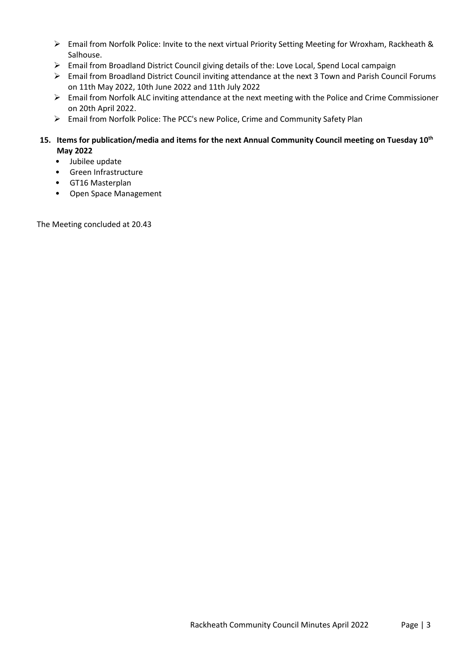- ➢ Email from Norfolk Police: Invite to the next virtual Priority Setting Meeting for Wroxham, Rackheath & Salhouse.
- ➢ Email from Broadland District Council giving details of the: Love Local, Spend Local campaign
- ➢ Email from Broadland District Council inviting attendance at the next 3 Town and Parish Council Forums on 11th May 2022, 10th June 2022 and 11th July 2022
- ➢ Email from Norfolk ALC inviting attendance at the next meeting with the Police and Crime Commissioner on 20th April 2022.
- ➢ Email from Norfolk Police: The PCC's new Police, Crime and Community Safety Plan

# **15. Items for publication/media and items for the next Annual Community Council meeting on Tuesday 10 th May 2022**

- Jubilee update
- Green Infrastructure
- GT16 Masterplan
- Open Space Management

The Meeting concluded at 20.43